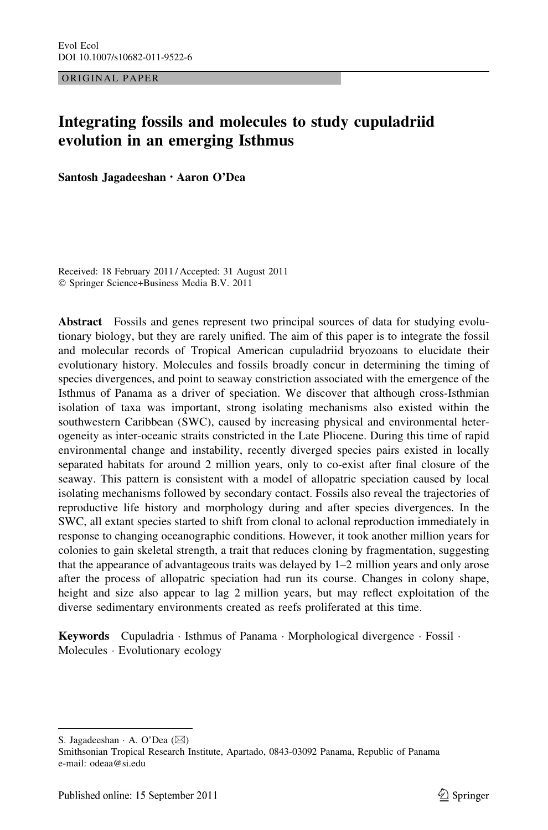ORIGINAL PAPER

# Integrating fossils and molecules to study cupuladriid evolution in an emerging Isthmus

Santosh Jagadeeshan • Aaron O'Dea

Received: 18 February 2011 / Accepted: 31 August 2011 - Springer Science+Business Media B.V. 2011

Abstract Fossils and genes represent two principal sources of data for studying evolutionary biology, but they are rarely unified. The aim of this paper is to integrate the fossil and molecular records of Tropical American cupuladriid bryozoans to elucidate their evolutionary history. Molecules and fossils broadly concur in determining the timing of species divergences, and point to seaway constriction associated with the emergence of the Isthmus of Panama as a driver of speciation. We discover that although cross-Isthmian isolation of taxa was important, strong isolating mechanisms also existed within the southwestern Caribbean (SWC), caused by increasing physical and environmental heterogeneity as inter-oceanic straits constricted in the Late Pliocene. During this time of rapid environmental change and instability, recently diverged species pairs existed in locally separated habitats for around 2 million years, only to co-exist after final closure of the seaway. This pattern is consistent with a model of allopatric speciation caused by local isolating mechanisms followed by secondary contact. Fossils also reveal the trajectories of reproductive life history and morphology during and after species divergences. In the SWC, all extant species started to shift from clonal to aclonal reproduction immediately in response to changing oceanographic conditions. However, it took another million years for colonies to gain skeletal strength, a trait that reduces cloning by fragmentation, suggesting that the appearance of advantageous traits was delayed by 1–2 million years and only arose after the process of allopatric speciation had run its course. Changes in colony shape, height and size also appear to lag 2 million years, but may reflect exploitation of the diverse sedimentary environments created as reefs proliferated at this time.

Keywords Cupuladria · Isthmus of Panama · Morphological divergence · Fossil · Molecules - Evolutionary ecology

S. Jagadeeshan ⋅ A. O'Dea (⊠)

Smithsonian Tropical Research Institute, Apartado, 0843-03092 Panama, Republic of Panama e-mail: odeaa@si.edu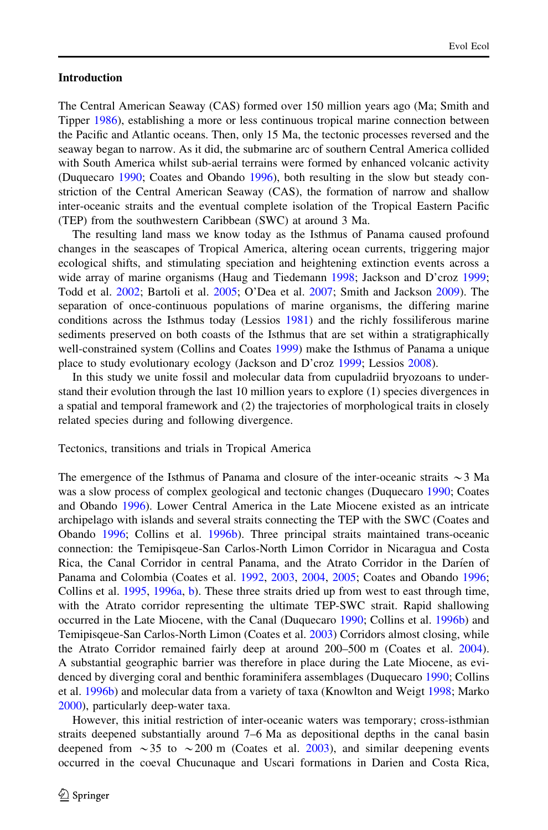### Introduction

The Central American Seaway (CAS) formed over 150 million years ago (Ma; Smith and Tipper [1986](#page-18-0)), establishing a more or less continuous tropical marine connection between the Pacific and Atlantic oceans. Then, only 15 Ma, the tectonic processes reversed and the seaway began to narrow. As it did, the submarine arc of southern Central America collided with South America whilst sub-aerial terrains were formed by enhanced volcanic activity (Duquecaro [1990;](#page-17-0) Coates and Obando [1996\)](#page-16-0), both resulting in the slow but steady constriction of the Central American Seaway (CAS), the formation of narrow and shallow inter-oceanic straits and the eventual complete isolation of the Tropical Eastern Pacific (TEP) from the southwestern Caribbean (SWC) at around 3 Ma.

The resulting land mass we know today as the Isthmus of Panama caused profound changes in the seascapes of Tropical America, altering ocean currents, triggering major ecological shifts, and stimulating speciation and heightening extinction events across a wide array of marine organisms (Haug and Tiedemann [1998;](#page-17-0) Jackson and D'croz [1999;](#page-17-0) Todd et al. [2002](#page-18-0); Bartoli et al. [2005](#page-16-0); O'Dea et al. [2007](#page-18-0); Smith and Jackson [2009\)](#page-18-0). The separation of once-continuous populations of marine organisms, the differing marine conditions across the Isthmus today (Lessios [1981\)](#page-17-0) and the richly fossiliferous marine sediments preserved on both coasts of the Isthmus that are set within a stratigraphically well-constrained system (Collins and Coates [1999](#page-16-0)) make the Isthmus of Panama a unique place to study evolutionary ecology (Jackson and D'croz [1999](#page-17-0); Lessios [2008](#page-17-0)).

In this study we unite fossil and molecular data from cupuladriid bryozoans to understand their evolution through the last 10 million years to explore (1) species divergences in a spatial and temporal framework and (2) the trajectories of morphological traits in closely related species during and following divergence.

Tectonics, transitions and trials in Tropical America

The emergence of the Isthmus of Panama and closure of the inter-oceanic straits  $\sim$  3 Ma was a slow process of complex geological and tectonic changes (Duquecaro [1990](#page-17-0); Coates and Obando [1996\)](#page-16-0). Lower Central America in the Late Miocene existed as an intricate archipelago with islands and several straits connecting the TEP with the SWC (Coates and Obando [1996;](#page-16-0) Collins et al. [1996b\)](#page-16-0). Three principal straits maintained trans-oceanic connection: the Temipisqeue-San Carlos-North Limon Corridor in Nicaragua and Costa Rica, the Canal Corridor in central Panama, and the Atrato Corridor in the Daríen of Panama and Colombia (Coates et al. [1992,](#page-16-0) [2003](#page-16-0), [2004](#page-16-0), [2005;](#page-16-0) Coates and Obando [1996;](#page-16-0) Collins et al. [1995,](#page-16-0) [1996a](#page-16-0), [b\)](#page-16-0). These three straits dried up from west to east through time, with the Atrato corridor representing the ultimate TEP-SWC strait. Rapid shallowing occurred in the Late Miocene, with the Canal (Duquecaro [1990;](#page-17-0) Collins et al. [1996b\)](#page-16-0) and Temipisqeue-San Carlos-North Limon (Coates et al. [2003](#page-16-0)) Corridors almost closing, while the Atrato Corridor remained fairly deep at around 200–500 m (Coates et al. [2004](#page-16-0)). A substantial geographic barrier was therefore in place during the Late Miocene, as evidenced by diverging coral and benthic foraminifera assemblages (Duquecaro [1990](#page-17-0); Collins et al. [1996b\)](#page-16-0) and molecular data from a variety of taxa (Knowlton and Weigt [1998](#page-17-0); Marko [2000\)](#page-17-0), particularly deep-water taxa.

However, this initial restriction of inter-oceanic waters was temporary; cross-isthmian straits deepened substantially around 7–6 Ma as depositional depths in the canal basin deepened from  $\sim$ 35 to  $\sim$ 200 m (Coates et al. [2003](#page-16-0)), and similar deepening events occurred in the coeval Chucunaque and Uscari formations in Darien and Costa Rica,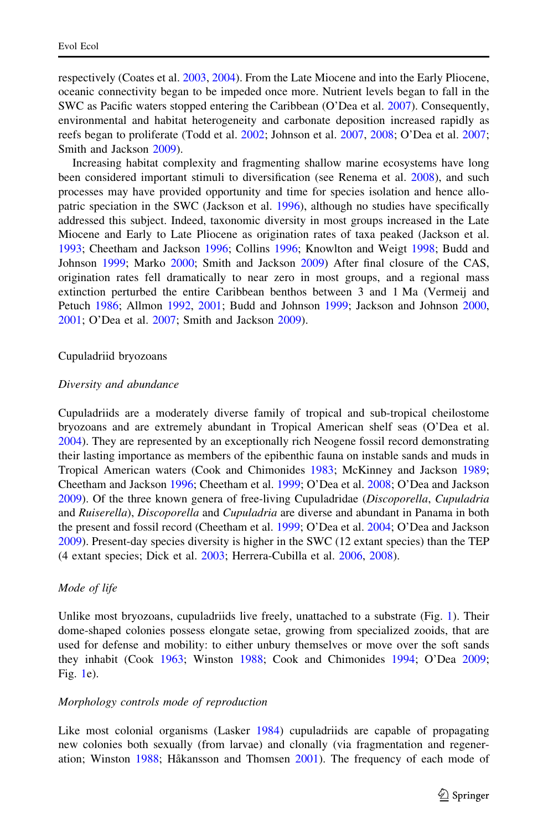respectively (Coates et al. [2003,](#page-16-0) [2004](#page-16-0)). From the Late Miocene and into the Early Pliocene, oceanic connectivity began to be impeded once more. Nutrient levels began to fall in the SWC as Pacific waters stopped entering the Caribbean (O'Dea et al. [2007\)](#page-18-0). Consequently, environmental and habitat heterogeneity and carbonate deposition increased rapidly as reefs began to proliferate (Todd et al. [2002](#page-18-0); Johnson et al. [2007,](#page-17-0) [2008](#page-17-0); O'Dea et al. [2007;](#page-18-0) Smith and Jackson [2009](#page-18-0)).

Increasing habitat complexity and fragmenting shallow marine ecosystems have long been considered important stimuli to diversification (see Renema et al. [2008\)](#page-18-0), and such processes may have provided opportunity and time for species isolation and hence allopatric speciation in the SWC (Jackson et al. [1996\)](#page-17-0), although no studies have specifically addressed this subject. Indeed, taxonomic diversity in most groups increased in the Late Miocene and Early to Late Pliocene as origination rates of taxa peaked (Jackson et al. [1993;](#page-17-0) Cheetham and Jackson [1996](#page-16-0); Collins [1996;](#page-16-0) Knowlton and Weigt [1998;](#page-17-0) Budd and Johnson [1999;](#page-16-0) Marko [2000;](#page-17-0) Smith and Jackson [2009](#page-18-0)) After final closure of the CAS, origination rates fell dramatically to near zero in most groups, and a regional mass extinction perturbed the entire Caribbean benthos between 3 and 1 Ma (Vermeij and Petuch [1986](#page-18-0); Allmon [1992](#page-15-0), [2001](#page-15-0); Budd and Johnson [1999](#page-16-0); Jackson and Johnson [2000](#page-17-0), [2001;](#page-17-0) O'Dea et al. [2007](#page-18-0); Smith and Jackson [2009\)](#page-18-0).

#### Cupuladriid bryozoans

#### Diversity and abundance

Cupuladriids are a moderately diverse family of tropical and sub-tropical cheilostome bryozoans and are extremely abundant in Tropical American shelf seas (O'Dea et al. [2004\)](#page-18-0). They are represented by an exceptionally rich Neogene fossil record demonstrating their lasting importance as members of the epibenthic fauna on instable sands and muds in Tropical American waters (Cook and Chimonides [1983;](#page-16-0) McKinney and Jackson [1989;](#page-17-0) Cheetham and Jackson [1996](#page-16-0); Cheetham et al. [1999](#page-16-0); O'Dea et al. [2008;](#page-18-0) O'Dea and Jackson [2009\)](#page-18-0). Of the three known genera of free-living Cupuladridae (Discoporella, Cupuladria and Ruiserella), Discoporella and Cupuladria are diverse and abundant in Panama in both the present and fossil record (Cheetham et al. [1999;](#page-16-0) O'Dea et al. [2004;](#page-18-0) O'Dea and Jackson [2009\)](#page-18-0). Present-day species diversity is higher in the SWC (12 extant species) than the TEP (4 extant species; Dick et al. [2003](#page-16-0); Herrera-Cubilla et al. [2006,](#page-17-0) [2008](#page-17-0)).

#### Mode of life

Unlike most bryozoans, cupuladriids live freely, unattached to a substrate (Fig. [1](#page-3-0)). Their dome-shaped colonies possess elongate setae, growing from specialized zooids, that are used for defense and mobility: to either unbury themselves or move over the soft sands they inhabit (Cook [1963](#page-16-0); Winston [1988](#page-18-0); Cook and Chimonides [1994](#page-16-0); O'Dea [2009;](#page-18-0) Fig. [1e](#page-3-0)).

#### Morphology controls mode of reproduction

Like most colonial organisms (Lasker [1984](#page-17-0)) cupuladriids are capable of propagating new colonies both sexually (from larvae) and clonally (via fragmentation and regener-ation; Winston [1988;](#page-18-0) Håkansson and Thomsen [2001\)](#page-17-0). The frequency of each mode of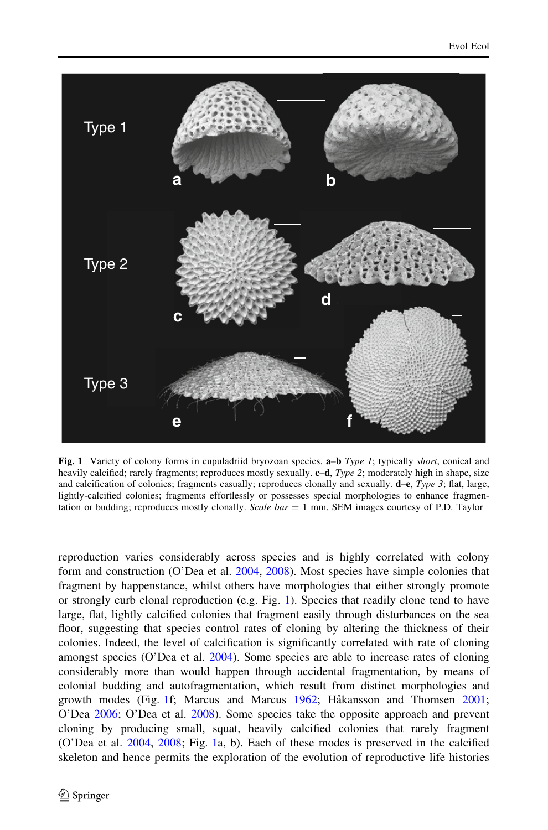<span id="page-3-0"></span>

Fig. 1 Variety of colony forms in cupuladriid bryozoan species.  $a-b$  Type 1; typically short, conical and heavily calcified; rarely fragments; reproduces mostly sexually. c–d, Type 2; moderately high in shape, size and calcification of colonies; fragments casually; reproduces clonally and sexually.  $d-e$ , Type 3; flat, large, lightly-calcified colonies; fragments effortlessly or possesses special morphologies to enhance fragmentation or budding; reproduces mostly clonally. Scale  $bar = 1$  mm. SEM images courtesy of P.D. Taylor

reproduction varies considerably across species and is highly correlated with colony form and construction (O'Dea et al. [2004,](#page-18-0) [2008](#page-18-0)). Most species have simple colonies that fragment by happenstance, whilst others have morphologies that either strongly promote or strongly curb clonal reproduction (e.g. Fig. 1). Species that readily clone tend to have large, flat, lightly calcified colonies that fragment easily through disturbances on the sea floor, suggesting that species control rates of cloning by altering the thickness of their colonies. Indeed, the level of calcification is significantly correlated with rate of cloning amongst species (O'Dea et al. [2004\)](#page-18-0). Some species are able to increase rates of cloning considerably more than would happen through accidental fragmentation, by means of colonial budding and autofragmentation, which result from distinct morphologies and growth modes (Fig. 1f; Marcus and Marcus [1962;](#page-17-0) Håkansson and Thomsen [2001;](#page-17-0) O'Dea [2006;](#page-18-0) O'Dea et al. [2008](#page-18-0)). Some species take the opposite approach and prevent cloning by producing small, squat, heavily calcified colonies that rarely fragment (O'Dea et al. [2004,](#page-18-0) [2008;](#page-18-0) Fig. 1a, b). Each of these modes is preserved in the calcified skeleton and hence permits the exploration of the evolution of reproductive life histories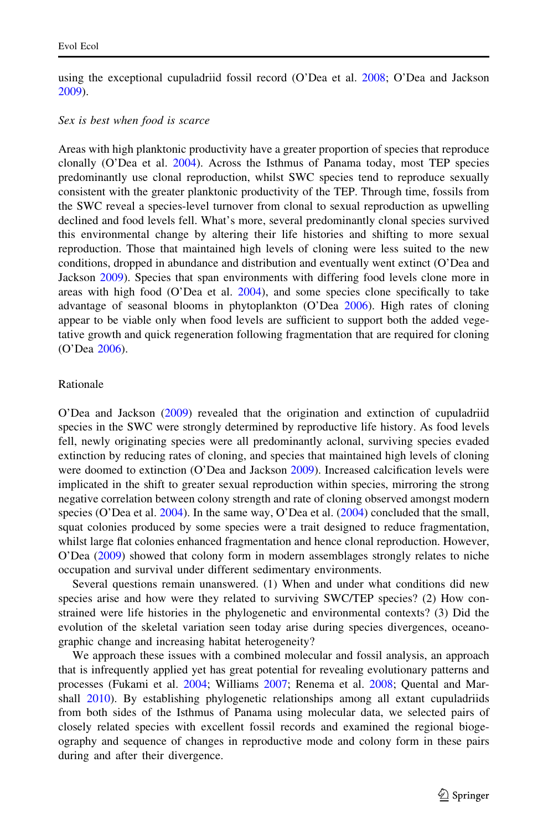using the exceptional cupuladriid fossil record (O'Dea et al. [2008](#page-18-0); O'Dea and Jackson [2009\)](#page-18-0).

#### Sex is best when food is scarce

Areas with high planktonic productivity have a greater proportion of species that reproduce clonally (O'Dea et al. [2004\)](#page-18-0). Across the Isthmus of Panama today, most TEP species predominantly use clonal reproduction, whilst SWC species tend to reproduce sexually consistent with the greater planktonic productivity of the TEP. Through time, fossils from the SWC reveal a species-level turnover from clonal to sexual reproduction as upwelling declined and food levels fell. What's more, several predominantly clonal species survived this environmental change by altering their life histories and shifting to more sexual reproduction. Those that maintained high levels of cloning were less suited to the new conditions, dropped in abundance and distribution and eventually went extinct (O'Dea and Jackson [2009](#page-18-0)). Species that span environments with differing food levels clone more in areas with high food (O'Dea et al. [2004\)](#page-18-0), and some species clone specifically to take advantage of seasonal blooms in phytoplankton (O'Dea [2006](#page-18-0)). High rates of cloning appear to be viable only when food levels are sufficient to support both the added vegetative growth and quick regeneration following fragmentation that are required for cloning (O'Dea [2006](#page-18-0)).

#### Rationale

O'Dea and Jackson [\(2009](#page-18-0)) revealed that the origination and extinction of cupuladriid species in the SWC were strongly determined by reproductive life history. As food levels fell, newly originating species were all predominantly aclonal, surviving species evaded extinction by reducing rates of cloning, and species that maintained high levels of cloning were doomed to extinction (O'Dea and Jackson [2009](#page-18-0)). Increased calcification levels were implicated in the shift to greater sexual reproduction within species, mirroring the strong negative correlation between colony strength and rate of cloning observed amongst modern species (O'Dea et al. [2004](#page-18-0)). In the same way, O'Dea et al. [\(2004](#page-18-0)) concluded that the small, squat colonies produced by some species were a trait designed to reduce fragmentation, whilst large flat colonies enhanced fragmentation and hence clonal reproduction. However, O'Dea ([2009](#page-18-0)) showed that colony form in modern assemblages strongly relates to niche occupation and survival under different sedimentary environments.

Several questions remain unanswered. (1) When and under what conditions did new species arise and how were they related to surviving SWC/TEP species? (2) How constrained were life histories in the phylogenetic and environmental contexts? (3) Did the evolution of the skeletal variation seen today arise during species divergences, oceanographic change and increasing habitat heterogeneity?

We approach these issues with a combined molecular and fossil analysis, an approach that is infrequently applied yet has great potential for revealing evolutionary patterns and processes (Fukami et al. [2004](#page-17-0); Williams [2007;](#page-18-0) Renema et al. [2008](#page-18-0); Quental and Marshall [2010](#page-18-0)). By establishing phylogenetic relationships among all extant cupuladriids from both sides of the Isthmus of Panama using molecular data, we selected pairs of closely related species with excellent fossil records and examined the regional biogeography and sequence of changes in reproductive mode and colony form in these pairs during and after their divergence.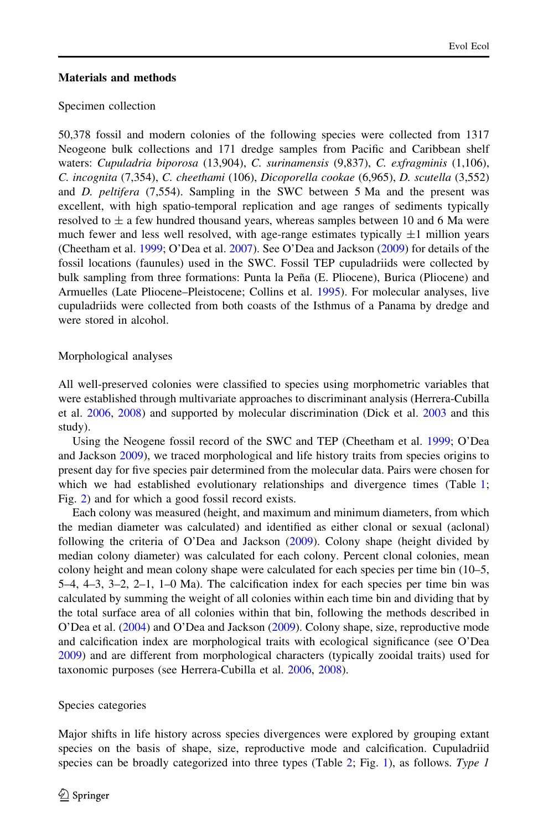## Materials and methods

#### Specimen collection

50,378 fossil and modern colonies of the following species were collected from 1317 Neogeone bulk collections and 171 dredge samples from Pacific and Caribbean shelf waters: Cupuladria biporosa (13,904), C. surinamensis (9,837), C. exfragminis (1,106), C. incognita (7,354), C. cheethami (106), Dicoporella cookae (6,965), D. scutella (3,552) and D. peltifera (7,554). Sampling in the SWC between 5 Ma and the present was excellent, with high spatio-temporal replication and age ranges of sediments typically resolved to  $\pm$  a few hundred thousand years, whereas samples between 10 and 6 Ma were much fewer and less well resolved, with age-range estimates typically  $\pm 1$  million years (Cheetham et al. [1999;](#page-16-0) O'Dea et al. [2007\)](#page-18-0). See O'Dea and Jackson ([2009\)](#page-18-0) for details of the fossil locations (faunules) used in the SWC. Fossil TEP cupuladriids were collected by bulk sampling from three formations: Punta la Peña (E. Pliocene), Burica (Pliocene) and Armuelles (Late Pliocene–Pleistocene; Collins et al. [1995](#page-16-0)). For molecular analyses, live cupuladriids were collected from both coasts of the Isthmus of a Panama by dredge and were stored in alcohol.

#### Morphological analyses

All well-preserved colonies were classified to species using morphometric variables that were established through multivariate approaches to discriminant analysis (Herrera-Cubilla et al. [2006,](#page-17-0) [2008\)](#page-17-0) and supported by molecular discrimination (Dick et al. [2003](#page-16-0) and this study).

Using the Neogene fossil record of the SWC and TEP (Cheetham et al. [1999](#page-16-0); O'Dea and Jackson [2009](#page-18-0)), we traced morphological and life history traits from species origins to present day for five species pair determined from the molecular data. Pairs were chosen for which we had established evolutionary relationships and divergence times (Table [1;](#page-8-0) Fig. [2\)](#page-9-0) and for which a good fossil record exists.

Each colony was measured (height, and maximum and minimum diameters, from which the median diameter was calculated) and identified as either clonal or sexual (aclonal) following the criteria of O'Dea and Jackson [\(2009](#page-18-0)). Colony shape (height divided by median colony diameter) was calculated for each colony. Percent clonal colonies, mean colony height and mean colony shape were calculated for each species per time bin (10–5,  $5-4$ ,  $4-3$ ,  $3-2$ ,  $2-1$ ,  $1-0$  Ma). The calcification index for each species per time bin was calculated by summing the weight of all colonies within each time bin and dividing that by the total surface area of all colonies within that bin, following the methods described in O'Dea et al. [\(2004](#page-18-0)) and O'Dea and Jackson [\(2009](#page-18-0)). Colony shape, size, reproductive mode and calcification index are morphological traits with ecological significance (see O'Dea [2009\)](#page-18-0) and are different from morphological characters (typically zooidal traits) used for taxonomic purposes (see Herrera-Cubilla et al. [2006,](#page-17-0) [2008](#page-17-0)).

## Species categories

Major shifts in life history across species divergences were explored by grouping extant species on the basis of shape, size, reproductive mode and calcification. Cupuladriid species can be broadly categorized into three types (Table [2;](#page-10-0) Fig. [1\)](#page-3-0), as follows. Type 1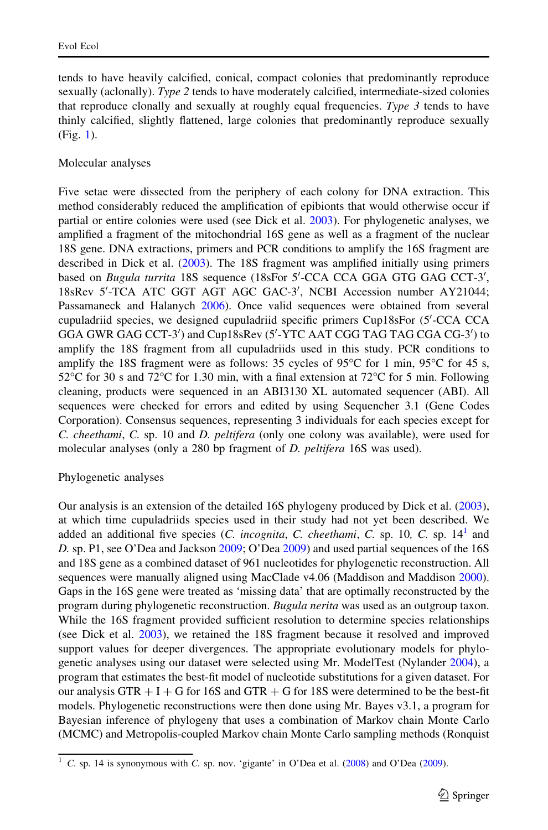tends to have heavily calcified, conical, compact colonies that predominantly reproduce sexually (aclonally). Type 2 tends to have moderately calcified, intermediate-sized colonies that reproduce clonally and sexually at roughly equal frequencies. Type  $\beta$  tends to have thinly calcified, slightly flattened, large colonies that predominantly reproduce sexually (Fig. [1\)](#page-3-0).

Molecular analyses

Five setae were dissected from the periphery of each colony for DNA extraction. This method considerably reduced the amplification of epibionts that would otherwise occur if partial or entire colonies were used (see Dick et al. [2003](#page-16-0)). For phylogenetic analyses, we amplified a fragment of the mitochondrial 16S gene as well as a fragment of the nuclear 18S gene. DNA extractions, primers and PCR conditions to amplify the 16S fragment are described in Dick et al. [\(2003](#page-16-0)). The 18S fragment was amplified initially using primers based on Bugula turrita 18S sequence (18sFor 5'-CCA CCA GGA GTG GAG CCT-3', 18sRev 5'-TCA ATC GGT AGT AGC GAC-3', NCBI Accession number AY21044; Passamaneck and Halanych [2006](#page-18-0)). Once valid sequences were obtained from several cupuladriid species, we designed cupuladriid specific primers Cup18sFor (5'-CCA CCA GGA GWR GAG CCT-3') and Cup18sRev (5'-YTC AAT CGG TAG TAG CGA CG-3') to amplify the 18S fragment from all cupuladriids used in this study. PCR conditions to amplify the 18S fragment were as follows: 35 cycles of 95 $\degree$ C for 1 min, 95 $\degree$ C for 45 s,  $52^{\circ}$ C for 30 s and  $72^{\circ}$ C for 1.30 min, with a final extension at  $72^{\circ}$ C for 5 min. Following cleaning, products were sequenced in an ABI3130 XL automated sequencer (ABI). All sequences were checked for errors and edited by using Sequencher 3.1 (Gene Codes Corporation). Consensus sequences, representing 3 individuals for each species except for C. cheethami, C. sp. 10 and D. peltifera (only one colony was available), were used for molecular analyses (only a 280 bp fragment of *D. peltifera* 16S was used).

#### Phylogenetic analyses

Our analysis is an extension of the detailed 16S phylogeny produced by Dick et al. [\(2003](#page-16-0)), at which time cupuladriids species used in their study had not yet been described. We added an additional five species (*C. incognita, C. cheethami, C. sp.* 10, *C. sp.*  $14<sup>1</sup>$  and D. sp. P1, see O'Dea and Jackson [2009;](#page-18-0) O'Dea [2009\)](#page-18-0) and used partial sequences of the 16S and 18S gene as a combined dataset of 961 nucleotides for phylogenetic reconstruction. All sequences were manually aligned using MacClade v4.06 (Maddison and Maddison [2000](#page-17-0)). Gaps in the 16S gene were treated as 'missing data' that are optimally reconstructed by the program during phylogenetic reconstruction. Bugula nerita was used as an outgroup taxon. While the 16S fragment provided sufficient resolution to determine species relationships (see Dick et al. [2003](#page-16-0)), we retained the 18S fragment because it resolved and improved support values for deeper divergences. The appropriate evolutionary models for phylogenetic analyses using our dataset were selected using Mr. ModelTest (Nylander [2004\)](#page-18-0), a program that estimates the best-fit model of nucleotide substitutions for a given dataset. For our analysis GTR  $+ I + G$  for 16S and GTR  $+ G$  for 18S were determined to be the best-fit models. Phylogenetic reconstructions were then done using Mr. Bayes v3.1, a program for Bayesian inference of phylogeny that uses a combination of Markov chain Monte Carlo (MCMC) and Metropolis-coupled Markov chain Monte Carlo sampling methods (Ronquist

<sup>&</sup>lt;sup>1</sup> C. sp. 14 is synonymous with C. sp. nov. 'gigante' in O'Dea et al. [\(2008](#page-18-0)) and O'Dea [\(2009](#page-18-0)).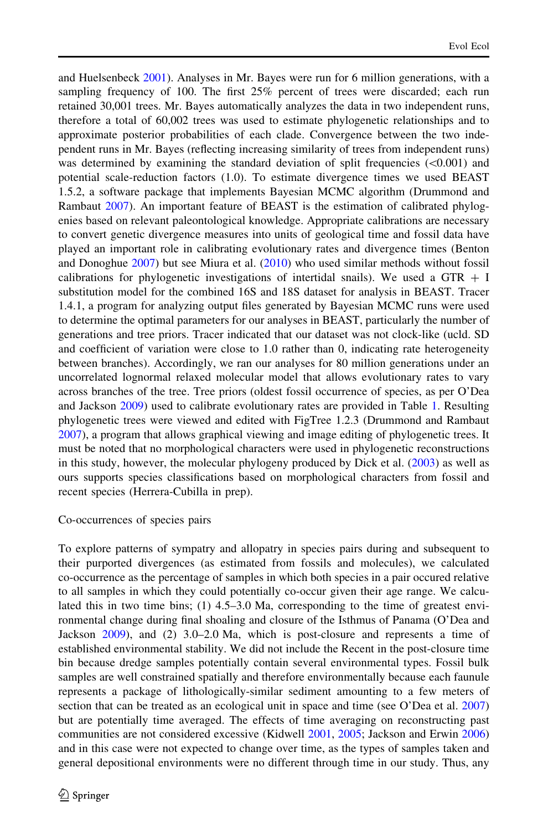and Huelsenbeck [2001\)](#page-18-0). Analyses in Mr. Bayes were run for 6 million generations, with a sampling frequency of 100. The first 25% percent of trees were discarded; each run retained 30,001 trees. Mr. Bayes automatically analyzes the data in two independent runs, therefore a total of 60,002 trees was used to estimate phylogenetic relationships and to approximate posterior probabilities of each clade. Convergence between the two independent runs in Mr. Bayes (reflecting increasing similarity of trees from independent runs) was determined by examining the standard deviation of split frequencies  $(<0.001$ ) and potential scale-reduction factors (1.0). To estimate divergence times we used BEAST 1.5.2, a software package that implements Bayesian MCMC algorithm (Drummond and Rambaut [2007](#page-16-0)). An important feature of BEAST is the estimation of calibrated phylogenies based on relevant paleontological knowledge. Appropriate calibrations are necessary to convert genetic divergence measures into units of geological time and fossil data have played an important role in calibrating evolutionary rates and divergence times (Benton and Donoghue [2007\)](#page-16-0) but see Miura et al. ([2010\)](#page-17-0) who used similar methods without fossil calibrations for phylogenetic investigations of intertidal snails). We used a GTR  $+$  I substitution model for the combined 16S and 18S dataset for analysis in BEAST. Tracer 1.4.1, a program for analyzing output files generated by Bayesian MCMC runs were used to determine the optimal parameters for our analyses in BEAST, particularly the number of generations and tree priors. Tracer indicated that our dataset was not clock-like (ucld. SD and coefficient of variation were close to 1.0 rather than 0, indicating rate heterogeneity between branches). Accordingly, we ran our analyses for 80 million generations under an uncorrelated lognormal relaxed molecular model that allows evolutionary rates to vary across branches of the tree. Tree priors (oldest fossil occurrence of species, as per O'Dea and Jackson [2009](#page-18-0)) used to calibrate evolutionary rates are provided in Table [1.](#page-8-0) Resulting phylogenetic trees were viewed and edited with FigTree 1.2.3 (Drummond and Rambaut [2007\)](#page-16-0), a program that allows graphical viewing and image editing of phylogenetic trees. It must be noted that no morphological characters were used in phylogenetic reconstructions in this study, however, the molecular phylogeny produced by Dick et al. [\(2003](#page-16-0)) as well as ours supports species classifications based on morphological characters from fossil and recent species (Herrera-Cubilla in prep).

#### Co-occurrences of species pairs

To explore patterns of sympatry and allopatry in species pairs during and subsequent to their purported divergences (as estimated from fossils and molecules), we calculated co-occurrence as the percentage of samples in which both species in a pair occured relative to all samples in which they could potentially co-occur given their age range. We calculated this in two time bins; (1) 4.5–3.0 Ma, corresponding to the time of greatest environmental change during final shoaling and closure of the Isthmus of Panama (O'Dea and Jackson [2009\)](#page-18-0), and (2) 3.0–2.0 Ma, which is post-closure and represents a time of established environmental stability. We did not include the Recent in the post-closure time bin because dredge samples potentially contain several environmental types. Fossil bulk samples are well constrained spatially and therefore environmentally because each faunule represents a package of lithologically-similar sediment amounting to a few meters of section that can be treated as an ecological unit in space and time (see O'Dea et al. [2007](#page-18-0)) but are potentially time averaged. The effects of time averaging on reconstructing past communities are not considered excessive (Kidwell [2001](#page-17-0), [2005](#page-17-0); Jackson and Erwin [2006](#page-17-0)) and in this case were not expected to change over time, as the types of samples taken and general depositional environments were no different through time in our study. Thus, any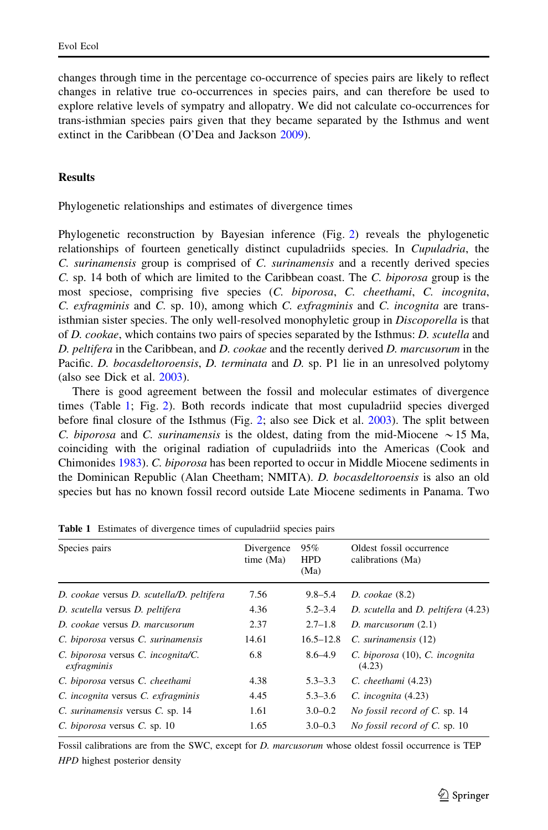<span id="page-8-0"></span>changes through time in the percentage co-occurrence of species pairs are likely to reflect changes in relative true co-occurrences in species pairs, and can therefore be used to explore relative levels of sympatry and allopatry. We did not calculate co-occurrences for trans-isthmian species pairs given that they became separated by the Isthmus and went extinct in the Caribbean (O'Dea and Jackson [2009\)](#page-18-0).

#### **Results**

Phylogenetic relationships and estimates of divergence times

Phylogenetic reconstruction by Bayesian inference (Fig. [2\)](#page-9-0) reveals the phylogenetic relationships of fourteen genetically distinct cupuladriids species. In Cupuladria, the C. surinamensis group is comprised of C. surinamensis and a recently derived species C. sp. 14 both of which are limited to the Caribbean coast. The C. biporosa group is the most speciose, comprising five species (C. biporosa, C. cheethami, C. incognita, C. exfragminis and C. sp. 10), among which C. exfragminis and C. incognita are transisthmian sister species. The only well-resolved monophyletic group in *Discoporella* is that of D. cookae, which contains two pairs of species separated by the Isthmus: D. scutella and D. peltifera in the Caribbean, and D. cookae and the recently derived D. marcusorum in the Pacific. D. bocasdeltoroensis, D. terminata and D. sp. P1 lie in an unresolved polytomy (also see Dick et al. [2003\)](#page-16-0).

There is good agreement between the fossil and molecular estimates of divergence times (Table 1; Fig. [2](#page-9-0)). Both records indicate that most cupuladriid species diverged before final closure of the Isthmus (Fig. [2;](#page-9-0) also see Dick et al. [2003](#page-16-0)). The split between C. biporosa and C. surinamensis is the oldest, dating from the mid-Miocene  $\sim$  15 Ma, coinciding with the original radiation of cupuladriids into the Americas (Cook and Chimonides [1983\)](#page-16-0). C. biporosa has been reported to occur in Middle Miocene sediments in the Dominican Republic (Alan Cheetham; NMITA). *D. bocasdeltoroensis* is also an old species but has no known fossil record outside Late Miocene sediments in Panama. Two

| Species pairs                                     | Divergence<br>time (Ma) | 95%<br><b>HPD</b><br>(Ma) | Oldest fossil occurrence<br>calibrations (Ma) |
|---------------------------------------------------|-------------------------|---------------------------|-----------------------------------------------|
| D. cookae versus D. scutella/D. peltifera         | 7.56                    | $9.8 - 5.4$               | D. $cookae(8.2)$                              |
| D. scutella versus D. peltifera                   | 4.36                    | $5.2 - 3.4$               | D. scutella and D. peltifera (4.23)           |
| D. cookae versus D. marcusorum                    | 2.37                    | $2.7 - 1.8$               | D. marcusorum $(2.1)$                         |
| C. biporosa versus C. surinamensis                | 14.61                   | $16.5 - 12.8$             | C. surinamensis (12)                          |
| C. biporosa versus C. incognita/C.<br>exfragminis | 6.8                     | $8.6 - 4.9$               | C. biporosa (10), C. incognita<br>(4.23)      |
| C. biporosa versus C. cheethami                   | 4.38                    | $5.3 - 3.3$               | $C.$ cheethami $(4.23)$                       |
| C. incognita versus C. exfragminis                | 4.45                    | $5.3 - 3.6$               | C. incognita (4.23)                           |
| C. surinamensis versus C. sp. 14                  | 1.61                    | $3.0 - 0.2$               | No fossil record of C. sp. 14                 |
| C. biporosa versus C. sp. 10                      | 1.65                    | $3.0 - 0.3$               | No fossil record of C. sp. 10                 |

Table 1 Estimates of divergence times of cupuladriid species pairs

Fossil calibrations are from the SWC, except for *D. marcusorum* whose oldest fossil occurrence is TEP HPD highest posterior density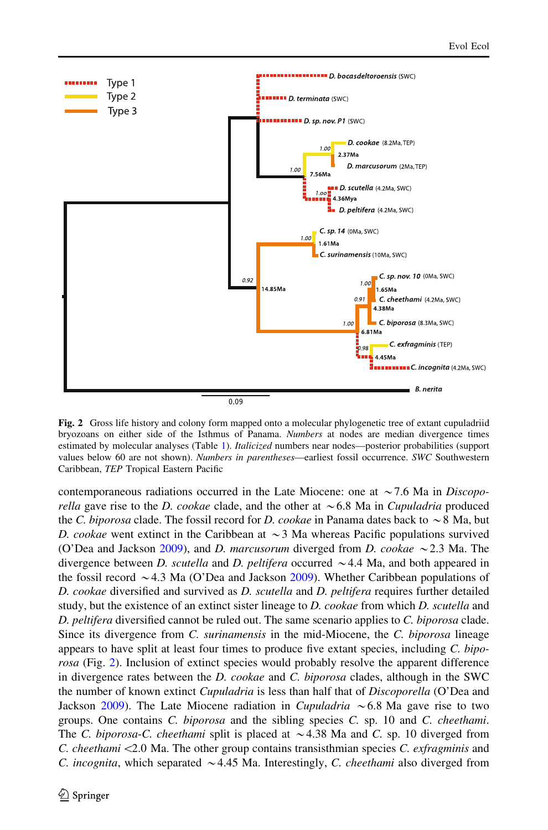<span id="page-9-0"></span>

Fig. 2 Gross life history and colony form mapped onto a molecular phylogenetic tree of extant cupuladriid bryozoans on either side of the Isthmus of Panama. Numbers at nodes are median divergence times estimated by molecular analyses (Table [1](#page-8-0)). Italicized numbers near nodes—posterior probabilities (support values below 60 are not shown). Numbers in parentheses—earliest fossil occurrence. SWC Southwestern Caribbean, TEP Tropical Eastern Pacific

contemporaneous radiations occurred in the Late Miocene: one at  $\sim$  7.6 Ma in Discopo*rella* gave rise to the *D. cookae* clade, and the other at  $\sim 6.8$  Ma in *Cupuladria* produced the C. biporosa clade. The fossil record for D. cookae in Panama dates back to  $\sim$  8 Ma, but D. cookae went extinct in the Caribbean at  $\sim$  3 Ma whereas Pacific populations survived (O'Dea and Jackson [2009\)](#page-18-0), and D. marcusorum diverged from D. cookae  $\sim$  2.3 Ma. The divergence between *D. scutella* and *D. peltifera* occurred  $\sim$  4.4 Ma, and both appeared in the fossil record  $\sim$  4.3 Ma (O'Dea and Jackson [2009\)](#page-18-0). Whether Caribbean populations of D. cookae diversified and survived as D. scutella and D. peltifera requires further detailed study, but the existence of an extinct sister lineage to D. cookae from which D. scutella and D. peltifera diversified cannot be ruled out. The same scenario applies to  $C$ . biporosa clade. Since its divergence from C. surinamensis in the mid-Miocene, the C. biporosa lineage appears to have split at least four times to produce five extant species, including  $C$ . biporosa (Fig. 2). Inclusion of extinct species would probably resolve the apparent difference in divergence rates between the D. cookae and C. biporosa clades, although in the SWC the number of known extinct *Cupuladria* is less than half that of *Discoporella* (O'Dea and Jackson [2009\)](#page-18-0). The Late Miocene radiation in *Cupuladria*  $\sim 6.8$  Ma gave rise to two groups. One contains C. biporosa and the sibling species C. sp. 10 and C. cheethami. The C. biporosa-C. cheethami split is placed at  $\sim$  4.38 Ma and C. sp. 10 diverged from C. cheethami $\langle 2.0 \text{ Ma.}$  The other group contains transisthmian species C. exfragminis and C. incognita, which separated  $\sim$  4.45 Ma. Interestingly, C. cheethami also diverged from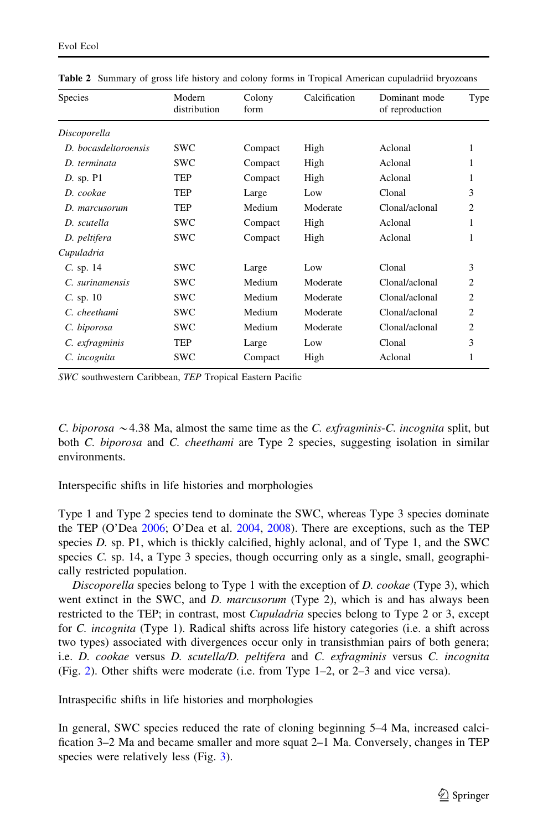| Species              | Modern<br>distribution | Colony<br>form | Calcification | Dominant mode<br>of reproduction | Type           |
|----------------------|------------------------|----------------|---------------|----------------------------------|----------------|
| Discoporella         |                        |                |               |                                  |                |
| D. bocasdeltoroensis | <b>SWC</b>             | Compact        | High          | Aclonal                          | 1              |
| D. terminata         | SWC                    | Compact        | High          | Aclonal                          | 1              |
| $D.$ sp. $P1$        | TEP                    | Compact        | High          | Aclonal                          | 1              |
| D. cookae            | TEP                    | Large          | Low           | Clonal                           | 3              |
| D. marcusorum        | TEP                    | Medium         | Moderate      | Clonal/aclonal                   | $\overline{2}$ |
| D. scutella          | SWC                    | Compact        | High          | Aclonal                          | 1              |
| D. peltifera         | <b>SWC</b>             | Compact        | High          | Aclonal                          | 1              |
| Cupuladria           |                        |                |               |                                  |                |
| $C.$ sp. 14          | <b>SWC</b>             | Large          | Low           | Clonal                           | 3              |
| C. surinamensis      | <b>SWC</b>             | Medium         | Moderate      | Clonal/aclonal                   | $\overline{c}$ |
| $C.$ sp. 10          | <b>SWC</b>             | Medium         | Moderate      | Clonal/aclonal                   | $\overline{2}$ |
| C. cheethami         | <b>SWC</b>             | Medium         | Moderate      | Clonal/aclonal                   | $\overline{c}$ |
| C. biporosa          | <b>SWC</b>             | Medium         | Moderate      | Clonal/aclonal                   | $\overline{2}$ |
| C. exfragminis       | TEP                    | Large          | Low           | Clonal                           | 3              |
| C. incognita         | <b>SWC</b>             | Compact        | High          | Aclonal                          | 1              |

<span id="page-10-0"></span>Table 2 Summary of gross life history and colony forms in Tropical American cupuladriid bryozoans

SWC southwestern Caribbean, TEP Tropical Eastern Pacific

C. biporosa  $\sim$  4.38 Ma, almost the same time as the C. exfragminis-C. incognita split, but both C. biporosa and C. cheethami are Type 2 species, suggesting isolation in similar environments.

Interspecific shifts in life histories and morphologies

Type 1 and Type 2 species tend to dominate the SWC, whereas Type 3 species dominate the TEP (O'Dea [2006](#page-18-0); O'Dea et al. [2004,](#page-18-0) [2008](#page-18-0)). There are exceptions, such as the TEP species  $D$ . sp. P1, which is thickly calcified, highly aclonal, and of Type 1, and the SWC species  $C$ . sp. 14, a Type 3 species, though occurring only as a single, small, geographically restricted population.

Discoporella species belong to Type 1 with the exception of D. cookae (Type 3), which went extinct in the SWC, and *D. marcusorum* (Type 2), which is and has always been restricted to the TEP; in contrast, most Cupuladria species belong to Type 2 or 3, except for C. incognita (Type 1). Radical shifts across life history categories (i.e. a shift across two types) associated with divergences occur only in transisthmian pairs of both genera; i.e. D. cookae versus D. scutella/D. peltifera and C. exfragminis versus C. incognita (Fig. [2\)](#page-9-0). Other shifts were moderate (i.e. from Type 1–2, or 2–3 and vice versa).

Intraspecific shifts in life histories and morphologies

In general, SWC species reduced the rate of cloning beginning 5–4 Ma, increased calcification 3–2 Ma and became smaller and more squat 2–1 Ma. Conversely, changes in TEP species were relatively less (Fig. [3](#page-11-0)).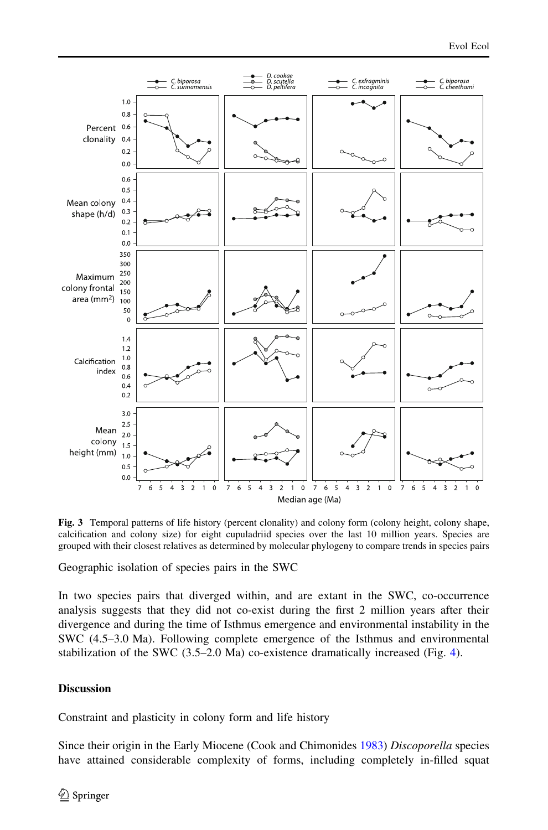<span id="page-11-0"></span>

Fig. 3 Temporal patterns of life history (percent clonality) and colony form (colony height, colony shape, calcification and colony size) for eight cupuladriid species over the last 10 million years. Species are grouped with their closest relatives as determined by molecular phylogeny to compare trends in species pairs

Geographic isolation of species pairs in the SWC

In two species pairs that diverged within, and are extant in the SWC, co-occurrence analysis suggests that they did not co-exist during the first 2 million years after their divergence and during the time of Isthmus emergence and environmental instability in the SWC (4.5–3.0 Ma). Following complete emergence of the Isthmus and environmental stabilization of the SWC  $(3.5-2.0 \text{ Ma})$  co-existence dramatically increased (Fig. [4\)](#page-12-0).

# **Discussion**

Constraint and plasticity in colony form and life history

Since their origin in the Early Miocene (Cook and Chimonides [1983\)](#page-16-0) Discoporella species have attained considerable complexity of forms, including completely in-filled squat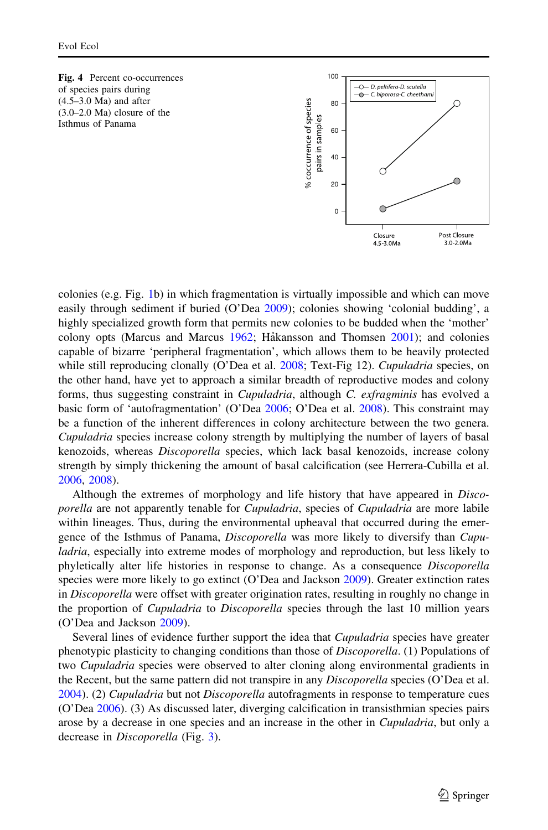<span id="page-12-0"></span>



colonies (e.g. Fig. [1](#page-3-0)b) in which fragmentation is virtually impossible and which can move easily through sediment if buried (O'Dea [2009](#page-18-0)); colonies showing 'colonial budding', a highly specialized growth form that permits new colonies to be budded when the 'mother' colony opts (Marcus and Marcus [1962;](#page-17-0) Håkansson and Thomsen [2001\)](#page-17-0); and colonies capable of bizarre 'peripheral fragmentation', which allows them to be heavily protected while still reproducing clonally (O'Dea et al. [2008](#page-18-0); Text-Fig 12). Cupuladria species, on the other hand, have yet to approach a similar breadth of reproductive modes and colony forms, thus suggesting constraint in *Cupuladria*, although *C. exfragminis* has evolved a basic form of 'autofragmentation' (O'Dea [2006;](#page-18-0) O'Dea et al. [2008](#page-18-0)). This constraint may be a function of the inherent differences in colony architecture between the two genera. Cupuladria species increase colony strength by multiplying the number of layers of basal kenozoids, whereas Discoporella species, which lack basal kenozoids, increase colony strength by simply thickening the amount of basal calcification (see Herrera-Cubilla et al. [2006,](#page-17-0) [2008](#page-17-0)).

Although the extremes of morphology and life history that have appeared in *Disco*porella are not apparently tenable for *Cupuladria*, species of *Cupuladria* are more labile within lineages. Thus, during the environmental upheaval that occurred during the emergence of the Isthmus of Panama, Discoporella was more likely to diversify than Cupuladria, especially into extreme modes of morphology and reproduction, but less likely to phyletically alter life histories in response to change. As a consequence Discoporella species were more likely to go extinct (O'Dea and Jackson [2009\)](#page-18-0). Greater extinction rates in Discoporella were offset with greater origination rates, resulting in roughly no change in the proportion of *Cupuladria* to *Discoporella* species through the last 10 million years (O'Dea and Jackson [2009](#page-18-0)).

Several lines of evidence further support the idea that *Cupuladria* species have greater phenotypic plasticity to changing conditions than those of *Discoporella*. (1) Populations of two Cupuladria species were observed to alter cloning along environmental gradients in the Recent, but the same pattern did not transpire in any *Discoporella* species (O'Dea et al. [2004\)](#page-18-0). (2) Cupuladria but not Discoporella autofragments in response to temperature cues (O'Dea [2006\)](#page-18-0). (3) As discussed later, diverging calcification in transisthmian species pairs arose by a decrease in one species and an increase in the other in *Cupuladria*, but only a decrease in *Discoporella* (Fig. [3\)](#page-11-0).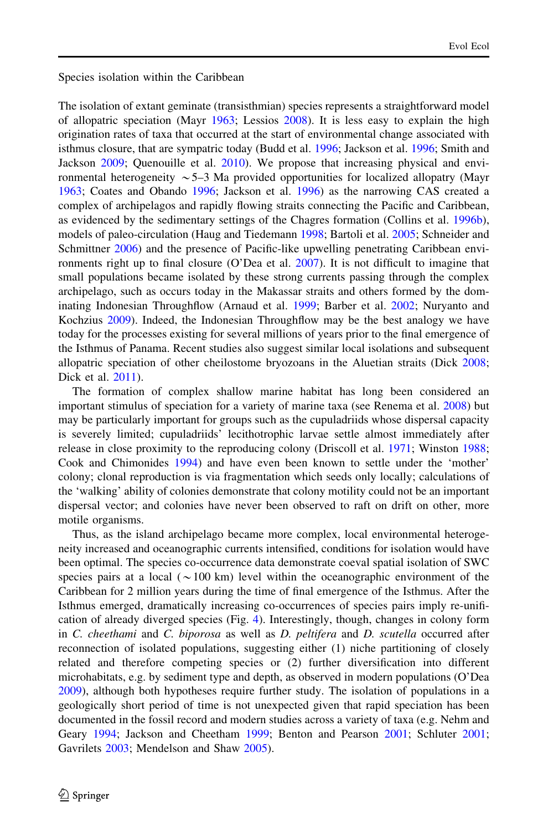Species isolation within the Caribbean

The isolation of extant geminate (transisthmian) species represents a straightforward model of allopatric speciation (Mayr [1963](#page-17-0); Lessios [2008\)](#page-17-0). It is less easy to explain the high origination rates of taxa that occurred at the start of environmental change associated with isthmus closure, that are sympatric today (Budd et al. [1996](#page-16-0); Jackson et al. [1996;](#page-17-0) Smith and Jackson [2009;](#page-18-0) Quenouille et al. [2010](#page-18-0)). We propose that increasing physical and environmental heterogeneity  $\sim$  5–3 Ma provided opportunities for localized allopatry (Mayr [1963;](#page-17-0) Coates and Obando [1996;](#page-16-0) Jackson et al. [1996\)](#page-17-0) as the narrowing CAS created a complex of archipelagos and rapidly flowing straits connecting the Pacific and Caribbean, as evidenced by the sedimentary settings of the Chagres formation (Collins et al. [1996b](#page-16-0)), models of paleo-circulation (Haug and Tiedemann [1998;](#page-17-0) Bartoli et al. [2005;](#page-16-0) Schneider and Schmittner [2006\)](#page-18-0) and the presence of Pacific-like upwelling penetrating Caribbean environments right up to final closure (O'Dea et al. [2007\)](#page-18-0). It is not difficult to imagine that small populations became isolated by these strong currents passing through the complex archipelago, such as occurs today in the Makassar straits and others formed by the dominating Indonesian Throughflow (Arnaud et al. [1999;](#page-16-0) Barber et al. [2002;](#page-16-0) Nuryanto and Kochzius [2009](#page-17-0)). Indeed, the Indonesian Throughflow may be the best analogy we have today for the processes existing for several millions of years prior to the final emergence of the Isthmus of Panama. Recent studies also suggest similar local isolations and subsequent allopatric speciation of other cheilostome bryozoans in the Aluetian straits (Dick [2008;](#page-16-0) Dick et al. [2011\)](#page-16-0).

The formation of complex shallow marine habitat has long been considered an important stimulus of speciation for a variety of marine taxa (see Renema et al. [2008\)](#page-18-0) but may be particularly important for groups such as the cupuladriids whose dispersal capacity is severely limited; cupuladriids' lecithotrophic larvae settle almost immediately after release in close proximity to the reproducing colony (Driscoll et al. [1971](#page-16-0); Winston [1988;](#page-18-0) Cook and Chimonides [1994\)](#page-16-0) and have even been known to settle under the 'mother' colony; clonal reproduction is via fragmentation which seeds only locally; calculations of the 'walking' ability of colonies demonstrate that colony motility could not be an important dispersal vector; and colonies have never been observed to raft on drift on other, more motile organisms.

Thus, as the island archipelago became more complex, local environmental heterogeneity increased and oceanographic currents intensified, conditions for isolation would have been optimal. The species co-occurrence data demonstrate coeval spatial isolation of SWC species pairs at a local  $({\sim}100 \text{ km})$  level within the oceanographic environment of the Caribbean for 2 million years during the time of final emergence of the Isthmus. After the Isthmus emerged, dramatically increasing co-occurrences of species pairs imply re-unification of already diverged species (Fig. [4\)](#page-12-0). Interestingly, though, changes in colony form in  $C$ . cheethami and  $C$ . biporosa as well as  $D$ . peltifera and  $D$ . scutella occurred after reconnection of isolated populations, suggesting either (1) niche partitioning of closely related and therefore competing species or (2) further diversification into different microhabitats, e.g. by sediment type and depth, as observed in modern populations (O'Dea [2009\)](#page-18-0), although both hypotheses require further study. The isolation of populations in a geologically short period of time is not unexpected given that rapid speciation has been documented in the fossil record and modern studies across a variety of taxa (e.g. Nehm and Geary [1994;](#page-17-0) Jackson and Cheetham [1999](#page-17-0); Benton and Pearson [2001](#page-16-0); Schluter [2001;](#page-18-0) Gavrilets [2003;](#page-17-0) Mendelson and Shaw [2005\)](#page-17-0).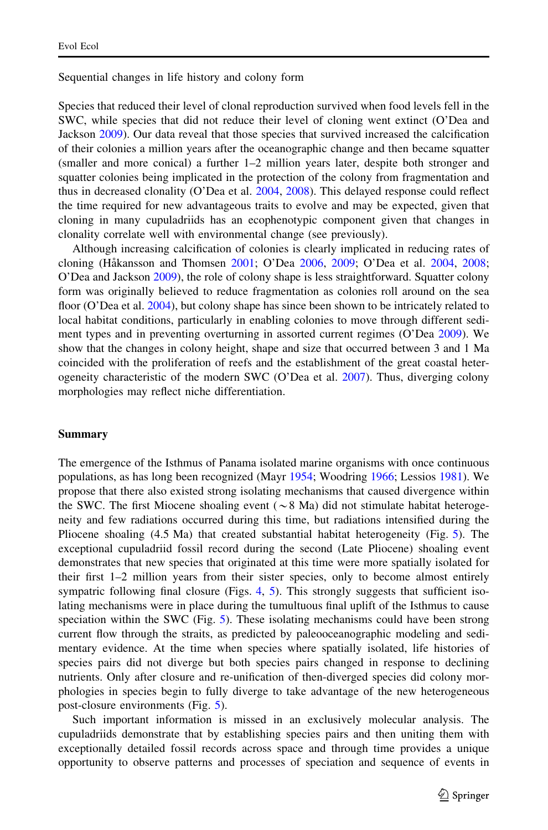Sequential changes in life history and colony form

Species that reduced their level of clonal reproduction survived when food levels fell in the SWC, while species that did not reduce their level of cloning went extinct (O'Dea and Jackson [2009\)](#page-18-0). Our data reveal that those species that survived increased the calcification of their colonies a million years after the oceanographic change and then became squatter (smaller and more conical) a further 1–2 million years later, despite both stronger and squatter colonies being implicated in the protection of the colony from fragmentation and thus in decreased clonality (O'Dea et al. [2004](#page-18-0), [2008](#page-18-0)). This delayed response could reflect the time required for new advantageous traits to evolve and may be expected, given that cloning in many cupuladriids has an ecophenotypic component given that changes in clonality correlate well with environmental change (see previously).

Although increasing calcification of colonies is clearly implicated in reducing rates of cloning (Ha˚kansson and Thomsen [2001](#page-17-0); O'Dea [2006](#page-18-0), [2009;](#page-18-0) O'Dea et al. [2004](#page-18-0), [2008;](#page-18-0) O'Dea and Jackson [2009\)](#page-18-0), the role of colony shape is less straightforward. Squatter colony form was originally believed to reduce fragmentation as colonies roll around on the sea floor (O'Dea et al. [2004](#page-18-0)), but colony shape has since been shown to be intricately related to local habitat conditions, particularly in enabling colonies to move through different sediment types and in preventing overturning in assorted current regimes (O'Dea [2009\)](#page-18-0). We show that the changes in colony height, shape and size that occurred between 3 and 1 Ma coincided with the proliferation of reefs and the establishment of the great coastal heterogeneity characteristic of the modern SWC (O'Dea et al. [2007](#page-18-0)). Thus, diverging colony morphologies may reflect niche differentiation.

#### Summary

The emergence of the Isthmus of Panama isolated marine organisms with once continuous populations, as has long been recognized (Mayr [1954;](#page-17-0) Woodring [1966](#page-18-0); Lessios [1981](#page-17-0)). We propose that there also existed strong isolating mechanisms that caused divergence within the SWC. The first Miocene shoaling event ( $\sim$  8 Ma) did not stimulate habitat heterogeneity and few radiations occurred during this time, but radiations intensified during the Pliocene shoaling (4.5 Ma) that created substantial habitat heterogeneity (Fig. [5\)](#page-15-0). The exceptional cupuladriid fossil record during the second (Late Pliocene) shoaling event demonstrates that new species that originated at this time were more spatially isolated for their first 1–2 million years from their sister species, only to become almost entirely sympatric following final closure (Figs. [4,](#page-12-0) [5\)](#page-15-0). This strongly suggests that sufficient isolating mechanisms were in place during the tumultuous final uplift of the Isthmus to cause speciation within the SWC (Fig. [5\)](#page-15-0). These isolating mechanisms could have been strong current flow through the straits, as predicted by paleooceanographic modeling and sedimentary evidence. At the time when species where spatially isolated, life histories of species pairs did not diverge but both species pairs changed in response to declining nutrients. Only after closure and re-unification of then-diverged species did colony morphologies in species begin to fully diverge to take advantage of the new heterogeneous post-closure environments (Fig. [5](#page-15-0)).

Such important information is missed in an exclusively molecular analysis. The cupuladriids demonstrate that by establishing species pairs and then uniting them with exceptionally detailed fossil records across space and through time provides a unique opportunity to observe patterns and processes of speciation and sequence of events in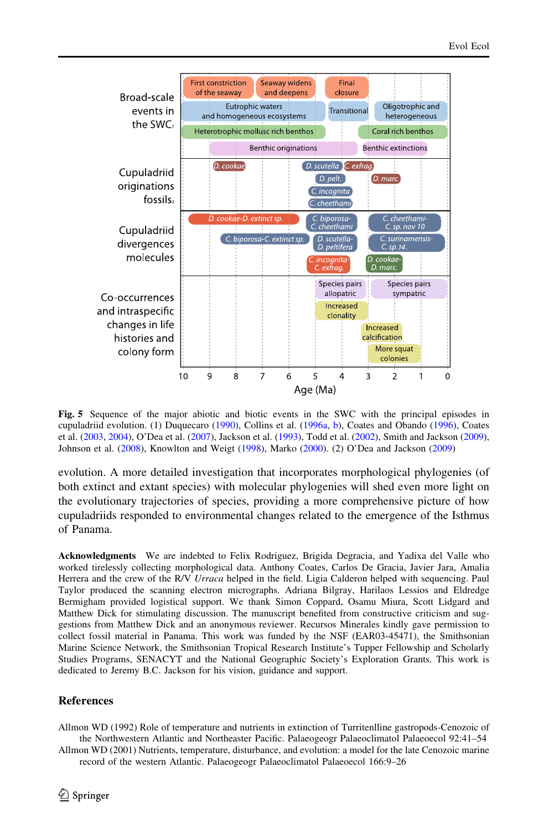<span id="page-15-0"></span>

Fig. 5 Sequence of the major abiotic and biotic events in the SWC with the principal episodes in cupuladriid evolution. (1) Duquecaro ([1990\)](#page-17-0), Collins et al. [\(1996a,](#page-16-0) [b](#page-16-0)), Coates and Obando ([1996\)](#page-16-0), Coates et al. [\(2003,](#page-16-0) [2004\)](#page-16-0), O'Dea et al. [\(2007](#page-18-0)), Jackson et al. [\(1993](#page-17-0)), Todd et al. ([2002\)](#page-18-0), Smith and Jackson [\(2009\)](#page-18-0), Johnson et al. ([2008\)](#page-17-0), Knowlton and Weigt ([1998](#page-17-0)), Marko [\(2000](#page-17-0)). (2) O'Dea and Jackson ([2009\)](#page-18-0)

evolution. A more detailed investigation that incorporates morphological phylogenies (of both extinct and extant species) with molecular phylogenies will shed even more light on the evolutionary trajectories of species, providing a more comprehensive picture of how cupuladriids responded to environmental changes related to the emergence of the Isthmus of Panama.

Acknowledgments We are indebted to Felix Rodriguez, Brigida Degracia, and Yadixa del Valle who worked tirelessly collecting morphological data. Anthony Coates, Carlos De Gracia, Javier Jara, Amalia Herrera and the crew of the R/V Urraca helped in the field. Ligia Calderon helped with sequencing. Paul Taylor produced the scanning electron micrographs. Adriana Bilgray, Harilaos Lessios and Eldredge Bermigham provided logistical support. We thank Simon Coppard, Osamu Miura, Scott Lidgard and Matthew Dick for stimulating discussion. The manuscript benefited from constructive criticism and suggestions from Matthew Dick and an anonymous reviewer. Recursos Minerales kindly gave permission to collect fossil material in Panama. This work was funded by the NSF (EAR03-45471), the Smithsonian Marine Science Network, the Smithsonian Tropical Research Institute's Tupper Fellowship and Scholarly Studies Programs, SENACYT and the National Geographic Society's Exploration Grants. This work is dedicated to Jeremy B.C. Jackson for his vision, guidance and support.

# **References**

Allmon WD (1992) Role of temperature and nutrients in extinction of Turritenlline gastropods-Cenozoic of the Northwestern Atlantic and Northeaster Pacific. Palaeogeogr Palaeoclimatol Palaeoecol 92:41–54

Allmon WD (2001) Nutrients, temperature, disturbance, and evolution: a model for the late Cenozoic marine record of the western Atlantic. Palaeogeogr Palaeoclimatol Palaeoecol 166:9–26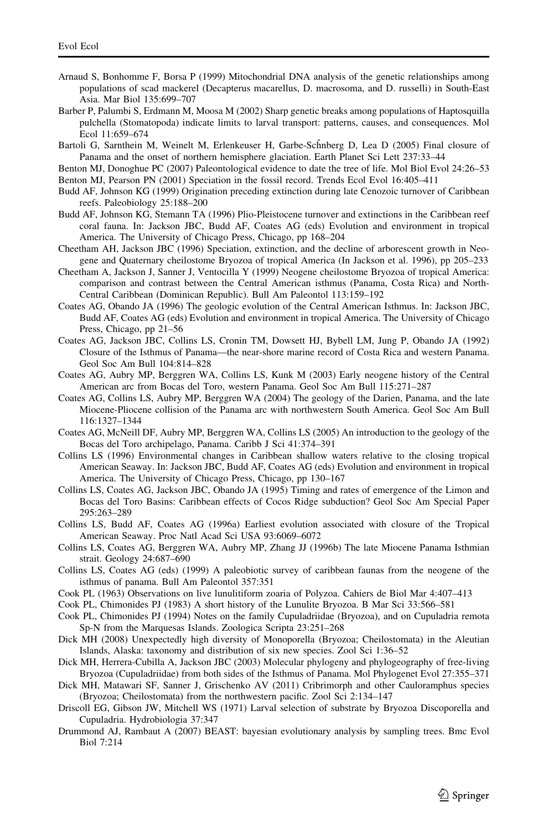- <span id="page-16-0"></span>Arnaud S, Bonhomme F, Borsa P (1999) Mitochondrial DNA analysis of the genetic relationships among populations of scad mackerel (Decapterus macarellus, D. macrosoma, and D. russelli) in South-East Asia. Mar Biol 135:699–707
- Barber P, Palumbi S, Erdmann M, Moosa M (2002) Sharp genetic breaks among populations of Haptosquilla pulchella (Stomatopoda) indicate limits to larval transport: patterns, causes, and consequences. Mol Ecol 11:659–674
- Bartoli G, Sarnthein M, Weinelt M, Erlenkeuser H, Garbe-Schnberg D, Lea D (2005) Final closure of Panama and the onset of northern hemisphere glaciation. Earth Planet Sci Lett 237:33–44

Benton MJ, Donoghue PC (2007) Paleontological evidence to date the tree of life. Mol Biol Evol 24:26–53 Benton MJ, Pearson PN (2001) Speciation in the fossil record. Trends Ecol Evol 16:405–411

- Budd AF, Johnson KG (1999) Origination preceding extinction during late Cenozoic turnover of Caribbean reefs. Paleobiology 25:188–200
- Budd AF, Johnson KG, Stemann TA (1996) Plio-Pleistocene turnover and extinctions in the Caribbean reef coral fauna. In: Jackson JBC, Budd AF, Coates AG (eds) Evolution and environment in tropical America. The University of Chicago Press, Chicago, pp 168–204
- Cheetham AH, Jackson JBC (1996) Speciation, extinction, and the decline of arborescent growth in Neogene and Quaternary cheilostome Bryozoa of tropical America (In Jackson et al. 1996), pp 205–233
- Cheetham A, Jackson J, Sanner J, Ventocilla Y (1999) Neogene cheilostome Bryozoa of tropical America: comparison and contrast between the Central American isthmus (Panama, Costa Rica) and North-Central Caribbean (Dominican Republic). Bull Am Paleontol 113:159–192
- Coates AG, Obando JA (1996) The geologic evolution of the Central American Isthmus. In: Jackson JBC, Budd AF, Coates AG (eds) Evolution and environment in tropical America. The University of Chicago Press, Chicago, pp 21–56
- Coates AG, Jackson JBC, Collins LS, Cronin TM, Dowsett HJ, Bybell LM, Jung P, Obando JA (1992) Closure of the Isthmus of Panama—the near-shore marine record of Costa Rica and western Panama. Geol Soc Am Bull 104:814–828
- Coates AG, Aubry MP, Berggren WA, Collins LS, Kunk M (2003) Early neogene history of the Central American arc from Bocas del Toro, western Panama. Geol Soc Am Bull 115:271–287
- Coates AG, Collins LS, Aubry MP, Berggren WA (2004) The geology of the Darien, Panama, and the late Miocene-Pliocene collision of the Panama arc with northwestern South America. Geol Soc Am Bull 116:1327–1344
- Coates AG, McNeill DF, Aubry MP, Berggren WA, Collins LS (2005) An introduction to the geology of the Bocas del Toro archipelago, Panama. Caribb J Sci 41:374–391
- Collins LS (1996) Environmental changes in Caribbean shallow waters relative to the closing tropical American Seaway. In: Jackson JBC, Budd AF, Coates AG (eds) Evolution and environment in tropical America. The University of Chicago Press, Chicago, pp 130–167
- Collins LS, Coates AG, Jackson JBC, Obando JA (1995) Timing and rates of emergence of the Limon and Bocas del Toro Basins: Caribbean effects of Cocos Ridge subduction? Geol Soc Am Special Paper 295:263–289
- Collins LS, Budd AF, Coates AG (1996a) Earliest evolution associated with closure of the Tropical American Seaway. Proc Natl Acad Sci USA 93:6069–6072
- Collins LS, Coates AG, Berggren WA, Aubry MP, Zhang JJ (1996b) The late Miocene Panama Isthmian strait. Geology 24:687–690
- Collins LS, Coates AG (eds) (1999) A paleobiotic survey of caribbean faunas from the neogene of the isthmus of panama. Bull Am Paleontol 357:351
- Cook PL (1963) Observations on live lunulitiform zoaria of Polyzoa. Cahiers de Biol Mar 4:407–413
- Cook PL, Chimonides PJ (1983) A short history of the Lunulite Bryozoa. B Mar Sci 33:566–581
- Cook PL, Chimonides PJ (1994) Notes on the family Cupuladriidae (Bryozoa), and on Cupuladria remota Sp-N from the Marquesas Islands. Zoologica Scripta 23:251–268
- Dick MH (2008) Unexpectedly high diversity of Monoporella (Bryozoa; Cheilostomata) in the Aleutian Islands, Alaska: taxonomy and distribution of six new species. Zool Sci 1:36–52
- Dick MH, Herrera-Cubilla A, Jackson JBC (2003) Molecular phylogeny and phylogeography of free-living Bryozoa (Cupuladriidae) from both sides of the Isthmus of Panama. Mol Phylogenet Evol 27:355–371
- Dick MH, Matawari SF, Sanner J, Grischenko AV (2011) Cribrimorph and other Cauloramphus species (Bryozoa; Cheilostomata) from the northwestern pacific. Zool Sci 2:134–147
- Driscoll EG, Gibson JW, Mitchell WS (1971) Larval selection of substrate by Bryozoa Discoporella and Cupuladria. Hydrobiologia 37:347
- Drummond AJ, Rambaut A (2007) BEAST: bayesian evolutionary analysis by sampling trees. Bmc Evol Biol 7:214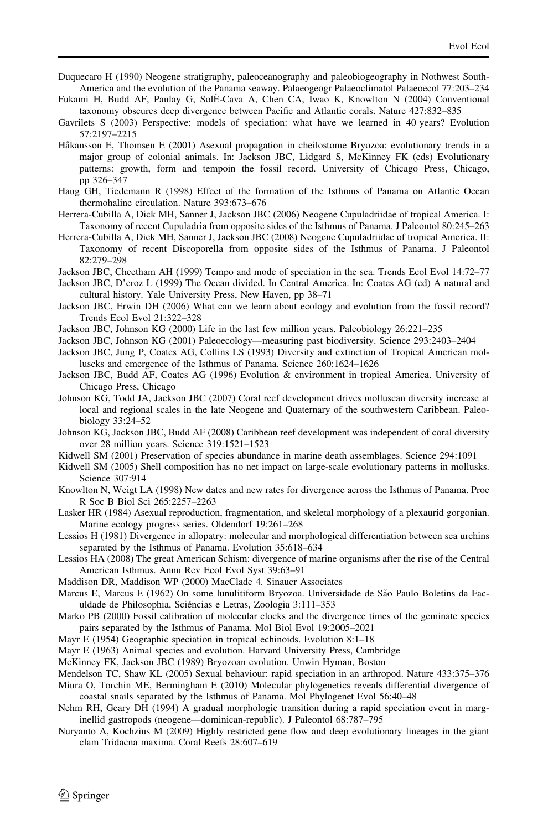- <span id="page-17-0"></span>Duquecaro H (1990) Neogene stratigraphy, paleoceanography and paleobiogeography in Nothwest South-America and the evolution of the Panama seaway. Palaeogeogr Palaeoclimatol Palaeoecol 77:203–234
- Fukami H, Budd AF, Paulay G, SolE`-Cava A, Chen CA, Iwao K, Knowlton N (2004) Conventional taxonomy obscures deep divergence between Pacific and Atlantic corals. Nature 427:832–835
- Gavrilets S (2003) Perspective: models of speciation: what have we learned in 40 years? Evolution 57:2197–2215
- Håkansson E, Thomsen E (2001) Asexual propagation in cheilostome Bryozoa: evolutionary trends in a major group of colonial animals. In: Jackson JBC, Lidgard S, McKinney FK (eds) Evolutionary patterns: growth, form and tempoin the fossil record. University of Chicago Press, Chicago, pp 326–347
- Haug GH, Tiedemann R (1998) Effect of the formation of the Isthmus of Panama on Atlantic Ocean thermohaline circulation. Nature 393:673–676
- Herrera-Cubilla A, Dick MH, Sanner J, Jackson JBC (2006) Neogene Cupuladriidae of tropical America. I: Taxonomy of recent Cupuladria from opposite sides of the Isthmus of Panama. J Paleontol 80:245–263
- Herrera-Cubilla A, Dick MH, Sanner J, Jackson JBC (2008) Neogene Cupuladriidae of tropical America. II: Taxonomy of recent Discoporella from opposite sides of the Isthmus of Panama. J Paleontol 82:279–298
- Jackson JBC, Cheetham AH (1999) Tempo and mode of speciation in the sea. Trends Ecol Evol 14:72–77
- Jackson JBC, D'croz L (1999) The Ocean divided. In Central America. In: Coates AG (ed) A natural and cultural history. Yale University Press, New Haven, pp 38–71
- Jackson JBC, Erwin DH (2006) What can we learn about ecology and evolution from the fossil record? Trends Ecol Evol 21:322–328
- Jackson JBC, Johnson KG (2000) Life in the last few million years. Paleobiology 26:221–235
- Jackson JBC, Johnson KG (2001) Paleoecology—measuring past biodiversity. Science 293:2403–2404
- Jackson JBC, Jung P, Coates AG, Collins LS (1993) Diversity and extinction of Tropical American molluscks and emergence of the Isthmus of Panama. Science 260:1624–1626
- Jackson JBC, Budd AF, Coates AG (1996) Evolution & environment in tropical America. University of Chicago Press, Chicago
- Johnson KG, Todd JA, Jackson JBC (2007) Coral reef development drives molluscan diversity increase at local and regional scales in the late Neogene and Quaternary of the southwestern Caribbean. Paleobiology 33:24–52
- Johnson KG, Jackson JBC, Budd AF (2008) Caribbean reef development was independent of coral diversity over 28 million years. Science 319:1521–1523
- Kidwell SM (2001) Preservation of species abundance in marine death assemblages. Science 294:1091
- Kidwell SM (2005) Shell composition has no net impact on large-scale evolutionary patterns in mollusks. Science 307:914
- Knowlton N, Weigt LA (1998) New dates and new rates for divergence across the Isthmus of Panama. Proc R Soc B Biol Sci 265:2257–2263
- Lasker HR (1984) Asexual reproduction, fragmentation, and skeletal morphology of a plexaurid gorgonian. Marine ecology progress series. Oldendorf 19:261–268
- Lessios H (1981) Divergence in allopatry: molecular and morphological differentiation between sea urchins separated by the Isthmus of Panama. Evolution 35:618–634
- Lessios HA (2008) The great American Schism: divergence of marine organisms after the rise of the Central American Isthmus. Annu Rev Ecol Evol Syst 39:63–91
- Maddison DR, Maddison WP (2000) MacClade 4. Sinauer Associates
- Marcus E, Marcus E (1962) On some lunulitiform Bryozoa. Universidade de São Paulo Boletins da Faculdade de Philosophia, Sciéncias e Letras, Zoologia 3:111–353
- Marko PB (2000) Fossil calibration of molecular clocks and the divergence times of the geminate species pairs separated by the Isthmus of Panama. Mol Biol Evol 19:2005–2021
- Mayr E (1954) Geographic speciation in tropical echinoids. Evolution 8:1–18
- Mayr E (1963) Animal species and evolution. Harvard University Press, Cambridge
- McKinney FK, Jackson JBC (1989) Bryozoan evolution. Unwin Hyman, Boston
- Mendelson TC, Shaw KL (2005) Sexual behaviour: rapid speciation in an arthropod. Nature 433:375–376
- Miura O, Torchin ME, Bermingham E (2010) Molecular phylogenetics reveals differential divergence of coastal snails separated by the Isthmus of Panama. Mol Phylogenet Evol 56:40–48
- Nehm RH, Geary DH (1994) A gradual morphologic transition during a rapid speciation event in marginellid gastropods (neogene—dominican-republic). J Paleontol 68:787–795
- Nuryanto A, Kochzius M (2009) Highly restricted gene flow and deep evolutionary lineages in the giant clam Tridacna maxima. Coral Reefs 28:607–619